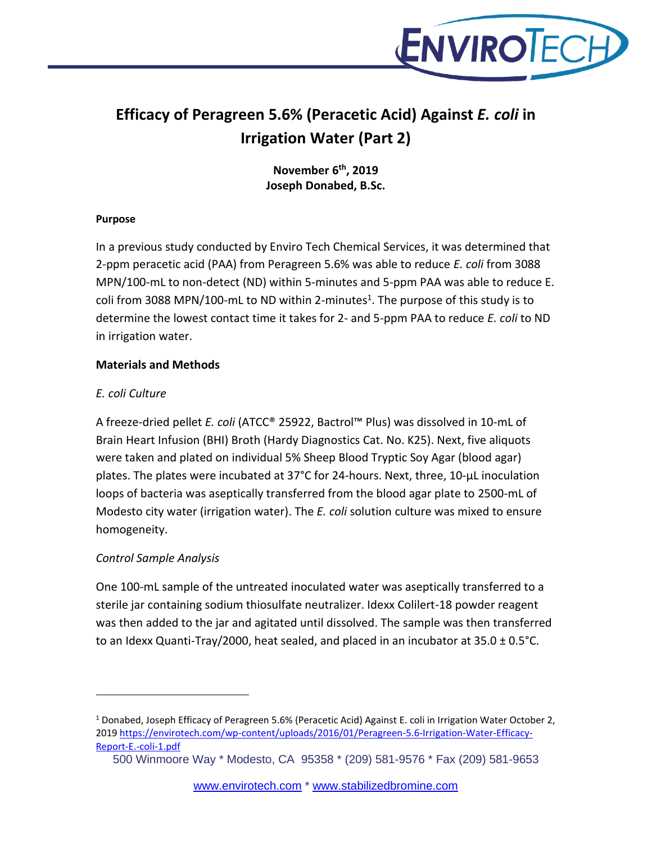

# **Efficacy of Peragreen 5.6% (Peracetic Acid) Against** *E. coli* **in Irrigation Water (Part 2)**

**November 6 th, 2019 Joseph Donabed, B.Sc.**

#### **Purpose**

In a previous study conducted by Enviro Tech Chemical Services, it was determined that 2-ppm peracetic acid (PAA) from Peragreen 5.6% was able to reduce *E. coli* from 3088 MPN/100-mL to non-detect (ND) within 5-minutes and 5-ppm PAA was able to reduce E. coli from 3088 MPN/100-mL to ND within 2-minutes<sup>1</sup>. The purpose of this study is to determine the lowest contact time it takes for 2- and 5-ppm PAA to reduce *E. coli* to ND in irrigation water.

# **Materials and Methods**

# *E. coli Culture*

A freeze-dried pellet *E. coli* (ATCC® 25922, Bactrol™ Plus) was dissolved in 10-mL of Brain Heart Infusion (BHI) Broth (Hardy Diagnostics Cat. No. K25). Next, five aliquots were taken and plated on individual 5% Sheep Blood Tryptic Soy Agar (blood agar) plates. The plates were incubated at 37°C for 24-hours. Next, three, 10-µL inoculation loops of bacteria was aseptically transferred from the blood agar plate to 2500-mL of Modesto city water (irrigation water). The *E. coli* solution culture was mixed to ensure homogeneity.

# *Control Sample Analysis*

One 100-mL sample of the untreated inoculated water was aseptically transferred to a sterile jar containing sodium thiosulfate neutralizer. Idexx Colilert-18 powder reagent was then added to the jar and agitated until dissolved. The sample was then transferred to an Idexx Quanti-Tray/2000, heat sealed, and placed in an incubator at  $35.0 \pm 0.5$  °C.

<sup>1</sup> Donabed, Joseph Efficacy of Peragreen 5.6% (Peracetic Acid) Against E. coli in Irrigation Water October 2, 201[9 https://envirotech.com/wp-content/uploads/2016/01/Peragreen-5.6-Irrigation-Water-Efficacy-](https://envirotech.com/wp-content/uploads/2016/01/Peragreen-5.6-Irrigation-Water-Efficacy-Report-E.-coli-1.pdf)[Report-E.-coli-1.pdf](https://envirotech.com/wp-content/uploads/2016/01/Peragreen-5.6-Irrigation-Water-Efficacy-Report-E.-coli-1.pdf)

<sup>500</sup> Winmoore Way \* Modesto, CA 95358 \* (209) 581-9576 \* Fax (209) 581-9653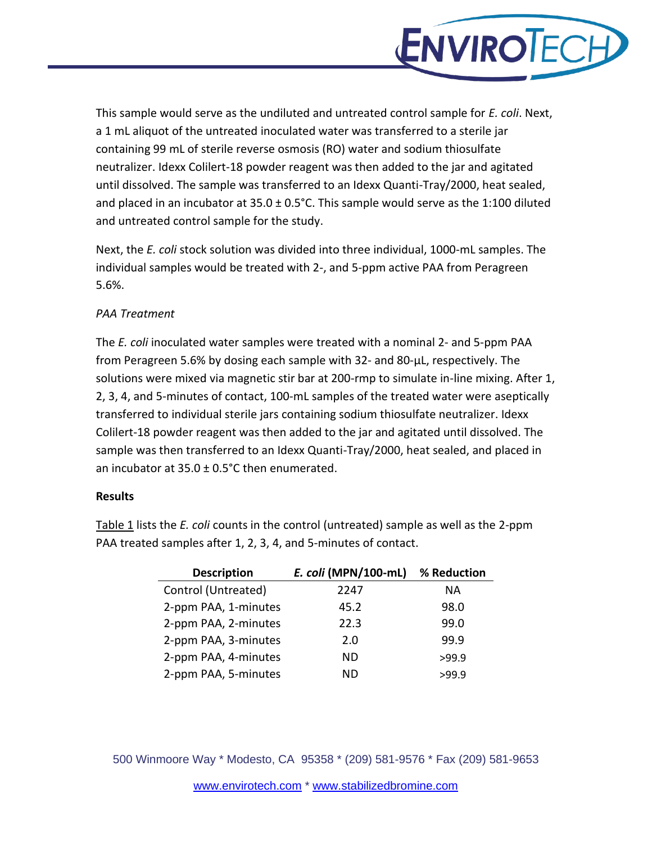

This sample would serve as the undiluted and untreated control sample for *E. coli*. Next, a 1 mL aliquot of the untreated inoculated water was transferred to a sterile jar containing 99 mL of sterile reverse osmosis (RO) water and sodium thiosulfate neutralizer. Idexx Colilert-18 powder reagent was then added to the jar and agitated until dissolved. The sample was transferred to an Idexx Quanti-Tray/2000, heat sealed, and placed in an incubator at  $35.0 \pm 0.5$ °C. This sample would serve as the 1:100 diluted and untreated control sample for the study.

Next, the *E. coli* stock solution was divided into three individual, 1000-mL samples. The individual samples would be treated with 2-, and 5-ppm active PAA from Peragreen 5.6%.

### *PAA Treatment*

The *E. coli* inoculated water samples were treated with a nominal 2- and 5-ppm PAA from Peragreen 5.6% by dosing each sample with 32- and 80-µL, respectively. The solutions were mixed via magnetic stir bar at 200-rmp to simulate in-line mixing. After 1, 2, 3, 4, and 5-minutes of contact, 100-mL samples of the treated water were aseptically transferred to individual sterile jars containing sodium thiosulfate neutralizer. Idexx Colilert-18 powder reagent was then added to the jar and agitated until dissolved. The sample was then transferred to an Idexx Quanti-Tray/2000, heat sealed, and placed in an incubator at 35.0 ± 0.5°C then enumerated.

#### **Results**

Table 1 lists the *E. coli* counts in the control (untreated) sample as well as the 2-ppm PAA treated samples after 1, 2, 3, 4, and 5-minutes of contact.

| <b>Description</b>   | E. coli (MPN/100-mL) | % Reduction |
|----------------------|----------------------|-------------|
| Control (Untreated)  | 2247                 | <b>NA</b>   |
| 2-ppm PAA, 1-minutes | 45.2                 | 98.0        |
| 2-ppm PAA, 2-minutes | 22.3                 | 99.0        |
| 2-ppm PAA, 3-minutes | 2.0                  | 99.9        |
| 2-ppm PAA, 4-minutes | ND                   | >99.9       |
| 2-ppm PAA, 5-minutes | ND.                  | >99.9       |